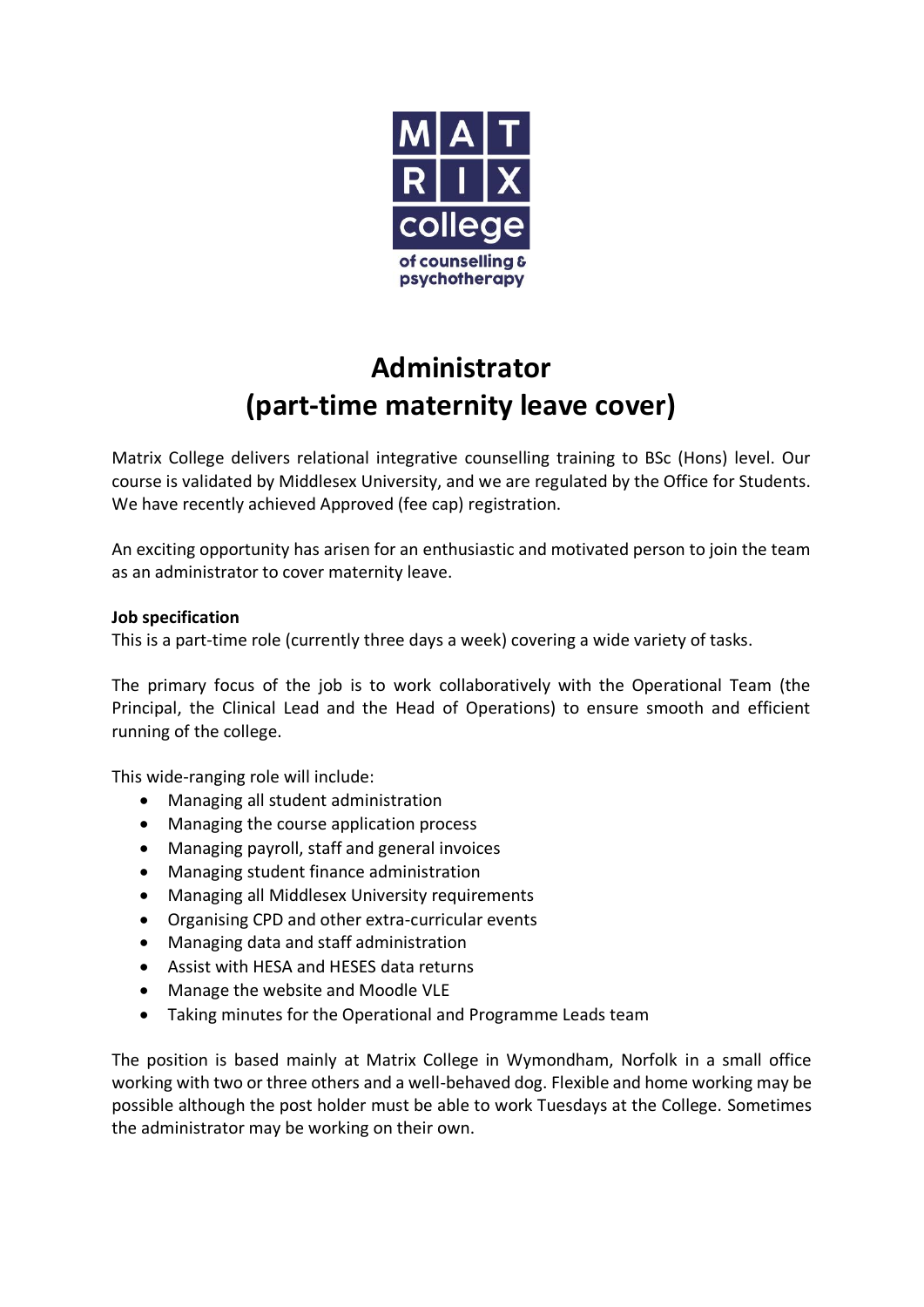

## **Administrator (part-time maternity leave cover)**

Matrix College delivers relational integrative counselling training to BSc (Hons) level. Our course is validated by Middlesex University, and we are regulated by the Office for Students. We have recently achieved Approved (fee cap) registration.

An exciting opportunity has arisen for an enthusiastic and motivated person to join the team as an administrator to cover maternity leave.

## **Job specification**

This is a part-time role (currently three days a week) covering a wide variety of tasks.

The primary focus of the job is to work collaboratively with the Operational Team (the Principal, the Clinical Lead and the Head of Operations) to ensure smooth and efficient running of the college.

This wide-ranging role will include:

- Managing all student administration
- Managing the course application process
- Managing payroll, staff and general invoices
- Managing student finance administration
- Managing all Middlesex University requirements
- Organising CPD and other extra-curricular events
- Managing data and staff administration
- Assist with HESA and HESES data returns
- Manage the website and Moodle VLE
- Taking minutes for the Operational and Programme Leads team

The position is based mainly at Matrix College in Wymondham, Norfolk in a small office working with two or three others and a well-behaved dog. Flexible and home working may be possible although the post holder must be able to work Tuesdays at the College. Sometimes the administrator may be working on their own.